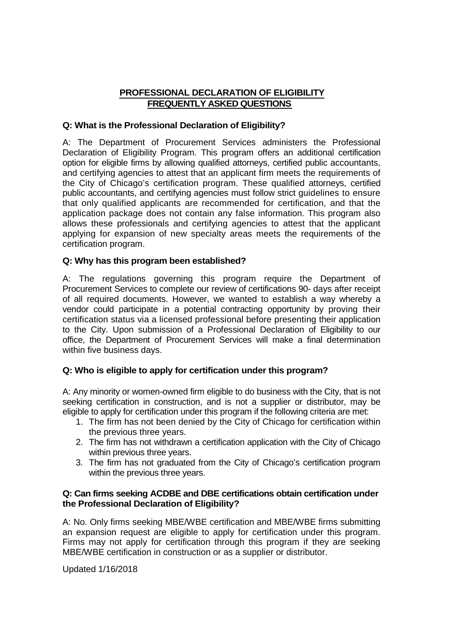# **PROFESSIONAL DECLARATION OF ELIGIBILITY FREQUENTLY ASKED QUESTIONS**

# **Q: What is the Professional Declaration of Eligibility?**

A: The Department of Procurement Services administers the Professional Declaration of Eligibility Program. This program offers an additional certification option for eligible firms by allowing qualified attorneys, certified public accountants, and certifying agencies to attest that an applicant firm meets the requirements of the City of Chicago's certification program. These qualified attorneys, certified public accountants, and certifying agencies must follow strict guidelines to ensure that only qualified applicants are recommended for certification, and that the application package does not contain any false information. This program also allows these professionals and certifying agencies to attest that the applicant applying for expansion of new specialty areas meets the requirements of the certification program.

# **Q: Why has this program been established?**

A: The regulations governing this program require the Department of Procurement Services to complete our review of certifications 90- days after receipt of all required documents. However, we wanted to establish a way whereby a vendor could participate in a potential contracting opportunity by proving their certification status via a licensed professional before presenting their application to the City. Upon submission of a Professional Declaration of Eligibility to our office, the Department of Procurement Services will make a final determination within five business days.

# **Q: Who is eligible to apply for certification under this program?**

A: Any minority or women-owned firm eligible to do business with the City, that is not seeking certification in construction, and is not a supplier or distributor, may be eligible to apply for certification under this program if the following criteria are met:

- 1. The firm has not been denied by the City of Chicago for certification within the previous three years.
- 2. The firm has not withdrawn a certification application with the City of Chicago within previous three years.
- 3. The firm has not graduated from the City of Chicago's certification program within the previous three years.

## **Q: Can firms seeking ACDBE and DBE certifications obtain certification under the Professional Declaration of Eligibility?**

A: No. Only firms seeking MBE/WBE certification and MBE/WBE firms submitting an expansion request are eligible to apply for certification under this program. Firms may not apply for certification through this program if they are seeking MBE/WBE certification in construction or as a supplier or distributor.

Updated 1/16/2018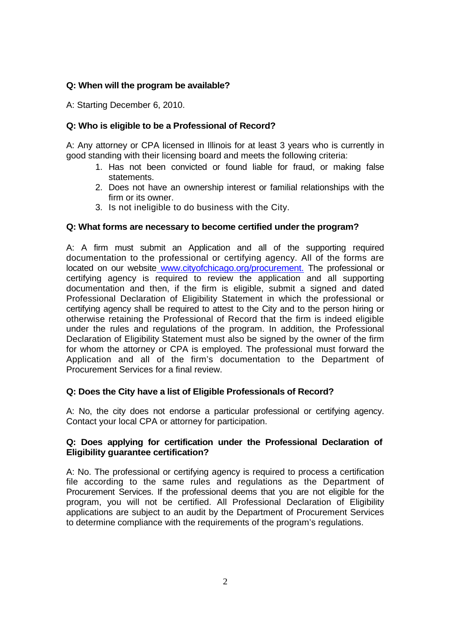## **Q: When will the program be available?**

A: Starting December 6, 2010.

## **Q: Who is eligible to be a Professional of Record?**

A: Any attorney or CPA licensed in Illinois for at least 3 years who is currently in good standing with their licensing board and meets the following criteria:

- 1. Has not been convicted or found liable for fraud, or making false statements.
- 2. Does not have an ownership interest or familial relationships with the firm or its owner.
- 3. Is not ineligible to do business with the City.

#### **Q: What forms are necessary to become certified under the program?**

A: A firm must submit an Application and all of the supporting required documentation to the professional or certifying agency. All of the forms are located on our website www.cityofchicago.org/procurement. The professional or certifying agency is required to review the application and all supporting documentation and then, if the firm is eligible, submit a signed and dated Professional Declaration of Eligibility Statement in which the professional or certifying agency shall be required to attest to the City and to the person hiring or otherwise retaining the Professional of Record that the firm is indeed eligible under the rules and regulations of the program. In addition, the Professional Declaration of Eligibility Statement must also be signed by the owner of the firm for whom the attorney or CPA is employed. The professional must forward the Application and all of the firm's documentation to the Department of Procurement Services for a final review.

# **Q: Does the City have a list of Eligible Professionals of Record?**

A: No, the city does not endorse a particular professional or certifying agency. Contact your local CPA or attorney for participation.

## **Q: Does applying for certification under the Professional Declaration of Eligibility guarantee certification?**

A: No. The professional or certifying agency is required to process a certification file according to the same rules and regulations as the Department of Procurement Services. If the professional deems that you are not eligible for the program, you will not be certified. All Professional Declaration of Eligibility applications are subject to an audit by the Department of Procurement Services to determine compliance with the requirements of the program's regulations.